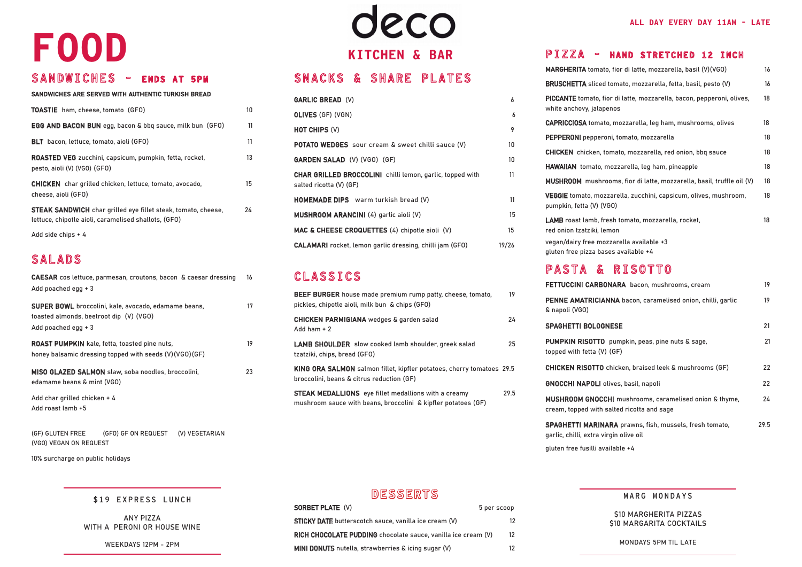# SNACKS & SHARE PLATES

| <b>GARLIC BREAD (V)</b>                                                                     | 6               |
|---------------------------------------------------------------------------------------------|-----------------|
| <b>OLIVES (GF) (VGN)</b>                                                                    | 6               |
| <b>HOT CHIPS (V)</b>                                                                        | 9               |
| POTATO WEDGES sour cream & sweet chilli sauce (V)                                           | 10              |
| <b>GARDEN SALAD (V) (VGO) (GF)</b>                                                          | 10 <sup>°</sup> |
| <b>CHAR GRILLED BROCCOLINI</b> chilli lemon, garlic, topped with<br>salted ricotta (V) (GF) | 11              |
| <b>HOMEMADE DIPS</b> warm turkish bread (V)                                                 | 11              |
| <b>MUSHROOM ARANCINI</b> (4) garlic aioli (V)                                               | 15              |
| MAC & CHEESE CROQUETTES (4) chipotle aioli (V)                                              | 15              |
| <b>CALAMARI</b> rocket, lemon garlic dressing, chilli jam (GFO)                             | 19/26           |

## CLASSICS

| <b>MARGHERITA</b> tomato, fior di latte, mozzarella, basil (V)(VGO)                               | 16 |
|---------------------------------------------------------------------------------------------------|----|
| <b>BRUSCHETTA</b> sliced tomato, mozzarella, fetta, basil, pesto (V)                              | 16 |
| PICCANTE tomato, fior di latte, mozzarella, bacon, pepperoni, olives,<br>white anchovy, jalapenos | 18 |
| <b>CAPRICCIOSA</b> tomato, mozzarella, leg ham, mushrooms, olives                                 | 18 |
| <b>PEPPERONI</b> pepperoni, tomato, mozzarella                                                    | 18 |
| <b>CHICKEN</b> chicken, tomato, mozzarella, red onion, bbq sauce                                  | 18 |
| HAWAIIAN tomato, mozzarella, leg ham, pineapple                                                   | 18 |
| <b>MUSHROOM</b> mushrooms, fior di latte, mozzarella, basil, truffle oil (V)                      | 18 |
| VEGGIE tomato, mozzarella, zucchini, capsicum, olives, mushroom,<br>pumpkin, fetta (V) (VGO)      | 18 |
| LAMB roast lamb, fresh tomato, mozzarella, rocket,<br>red onion tzatziki, lemon                   | 18 |
| vegan/dairy free mozzarella available +3<br>gluten free pizza bases available +4                  |    |

| FETTUCCINI CARBONARA bacon, mushrooms, cream                                                             | 19   |
|----------------------------------------------------------------------------------------------------------|------|
| PENNE AMATRICIANNA bacon, caramelised onion, chilli, garlic<br>& napoli (VGO)                            | 19   |
| <b>SPAGHETTI BOLOGNESE</b>                                                                               | 21   |
| <b>PUMPKIN RISOTTO</b> pumpkin, peas, pine nuts & sage,<br>topped with fetta (V) (GF)                    | 21   |
| <b>CHICKEN RISOTTO</b> chicken, braised leek & mushrooms (GF)                                            | 22   |
| <b>GNOCCHI NAPOLI</b> olives, basil, napoli                                                              | 22   |
| MUSHROOM GNOCCHI mushrooms, caramelised onion & thyme,<br>cream, topped with salted ricotta and sage     | 24   |
| <b>SPAGHETTI MARINARA</b> prawns, fish, mussels, fresh tomato,<br>garlic, chilli, extra virgin olive oil | 29.5 |
|                                                                                                          |      |

| BEEF BURGER house made premium rump patty, cheese, tomato,<br>pickles, chipotle aioli, milk bun & chips (GFO)                | 19   |
|------------------------------------------------------------------------------------------------------------------------------|------|
| <b>CHICKEN PARMIGIANA</b> wedges & garden salad<br>Add ham $+2$                                                              | 24   |
| <b>LAMB SHOULDER</b> slow cooked lamb shoulder, greek salad<br>tzatziki, chips, bread (GFO)                                  | 25   |
| KING ORA SALMON salmon fillet, kipfler potatoes, cherry tomatoes 29.5<br>broccolini, beans & citrus reduction (GF)           |      |
| <b>STEAK MEDALLIONS</b> eye fillet medallions with a creamy<br>mushroom sauce with beans, broccolini & kipfler potatoes (GF) | 29.5 |
|                                                                                                                              |      |

| <b>MARGHERITA tomato, fio</b>                        |
|------------------------------------------------------|
| <b>BRUSCHETTA</b> sliced tom                         |
| PICCANTE tomato, fior di<br>white anchovy, jalapenos |
| CAPRICCIOSA tomato, mo                               |
| PEPPERONI pepperoni, to                              |
| <b>CHICKEN</b> chicken, tomat                        |
| HAWAIIAN tomato, mozz                                |
| MUSHROOM mushrooms                                   |
| <b>VEGGIE</b> tomato, mozzare                        |

# PASTA & RISOTTO

## **FETTUCCINI CARBO**

| <b>PENNE AMATRICIA</b> |  |
|------------------------|--|
| & napoli (VGO)         |  |
|                        |  |

PUMPKIN RISOTTO topped with fetta (V)

CHICKEN RISOTTO

**GNOCCHI NAPOLI ol** 

MUSHROOM GNOCC cream, topped with s

# deco **KITCHEN & BAR**

gluten free fusilli available +4

## SANDWICHES - ENDS AT 5PM

### SANDWICHES ARE SERVED WITH AUTHENTIC TURKISH BREAD

| <b>TOASTIE</b> ham, cheese, tomato (GFO)                                                                                     | 10. |
|------------------------------------------------------------------------------------------------------------------------------|-----|
| <b>EGG AND BACON BUN</b> egg, bacon & bbq sauce, milk bun (GFO)                                                              | 11  |
| <b>BLT</b> bacon, lettuce, tomato, aioli (GFO)                                                                               | 11  |
| <b>ROASTED VEG</b> zucchini, capsicum, pumpkin, fetta, rocket,<br>pesto, aioli (V) (VGO) (GFO)                               | 13  |
| <b>CHICKEN</b> char grilled chicken, lettuce, tomato, avocado,<br>cheese, aioli (GFO)                                        | 15  |
| <b>STEAK SANDWICH</b> char grilled eye fillet steak, tomato, cheese,<br>lettuce, chipotle aioli, caramelised shallots, (GFO) | 24  |
| Add side chips $+4$                                                                                                          |     |

# SALADS

| <b>CAESAR</b> cos lettuce, parmesan, croutons, bacon & caesar dressing<br>Add poached egg $+3$ |                                                                                                                |                |    |  |  |
|------------------------------------------------------------------------------------------------|----------------------------------------------------------------------------------------------------------------|----------------|----|--|--|
| toasted almonds, beetroot dip (V) (VGO)<br>Add poached egg $+3$                                | <b>SUPER BOWL</b> broccolini, kale, avocado, edamame beans,                                                    |                | 17 |  |  |
|                                                                                                | <b>ROAST PUMPKIN</b> kale, fetta, toasted pine nuts,<br>honey balsamic dressing topped with seeds (V)(VGO)(GF) |                | 19 |  |  |
| MISO GLAZED SALMON slaw, soba noodles, broccolini,<br>edamame beans & mint (VGO)               |                                                                                                                |                | 23 |  |  |
| Add char grilled chicken + 4<br>Add roast lamb +5                                              |                                                                                                                |                |    |  |  |
| (GF) GLUTEN FREE                                                                               | (GFO) GF ON REQUEST                                                                                            | (V) VEGETARIAN |    |  |  |

(VGO) VEGAN ON REQUEST

10% surcharge on public holidays

### MARG MONDAYS

\$10 MARGHERITA PIZZAS \$10 MARGARITA COCKTAILS

MONDAYS 5PM TIL LATE

| \$19 EXPRESS LUNCH |  |
|--------------------|--|
|--------------------|--|

ANY PIZZA WITH A PERONI OR HOUSE WINE

WEEKDAYS 12PM - 2PM

#### **ALL DAY EVERY DAY 11AM - LATE**

### PIZZA - HAND STRETCHED 12 INCH

# **FOOD**

# DESSERTS

| <b>SORBET PLATE (V)</b>                                       | 5 per scoop |
|---------------------------------------------------------------|-------------|
| <b>STICKY DATE</b> butterscotch sauce, vanilla ice cream (V)  | 12          |
| RICH CHOCOLATE PUDDING chocolate sauce, vanilla ice cream (V) |             |
| MINI DONUTS nutella, strawberries & icing sugar (V)           | 12          |